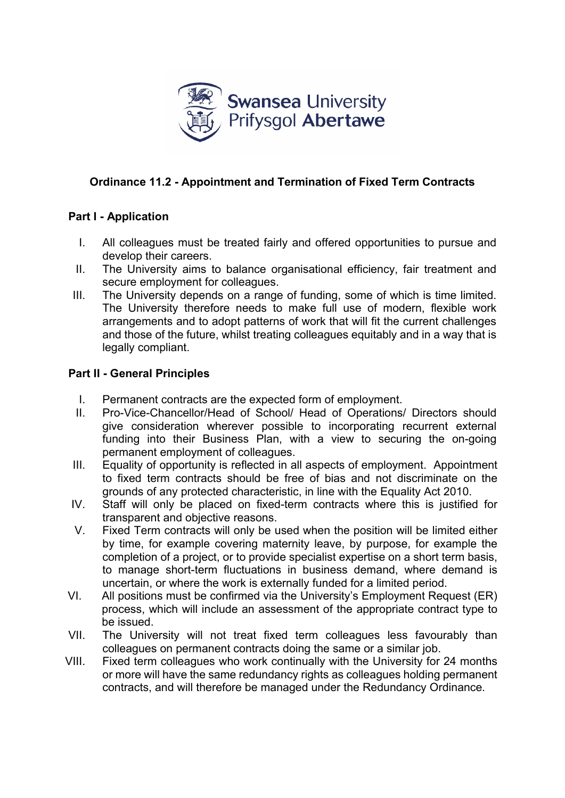

# **Ordinance 11.2 - Appointment and Termination of Fixed Term Contracts**

### **Part I - Application**

- I. All colleagues must be treated fairly and offered opportunities to pursue and develop their careers.
- II. The University aims to balance organisational efficiency, fair treatment and secure employment for colleagues.
- III. The University depends on a range of funding, some of which is time limited. The University therefore needs to make full use of modern, flexible work arrangements and to adopt patterns of work that will fit the current challenges and those of the future, whilst treating colleagues equitably and in a way that is legally compliant.

#### **Part II - General Principles**

- I. Permanent contracts are the expected form of employment.
- II. Pro-Vice-Chancellor/Head of School/ Head of Operations/ Directors should give consideration wherever possible to incorporating recurrent external funding into their Business Plan, with a view to securing the on-going permanent employment of colleagues.
- III. Equality of opportunity is reflected in all aspects of employment. Appointment to fixed term contracts should be free of bias and not discriminate on the grounds of any protected characteristic, in line with the Equality Act 2010.
- IV. Staff will only be placed on fixed-term contracts where this is justified for transparent and objective reasons.
- V. Fixed Term contracts will only be used when the position will be limited either by time, for example covering maternity leave, by purpose, for example the completion of a project, or to provide specialist expertise on a short term basis, to manage short-term fluctuations in business demand, where demand is uncertain, or where the work is externally funded for a limited period.
- VI. All positions must be confirmed via the University's Employment Request (ER) process, which will include an assessment of the appropriate contract type to be issued.
- VII. The University will not treat fixed term colleagues less favourably than colleagues on permanent contracts doing the same or a similar job.
- VIII. Fixed term colleagues who work continually with the University for 24 months or more will have the same redundancy rights as colleagues holding permanent contracts, and will therefore be managed under the Redundancy Ordinance*.*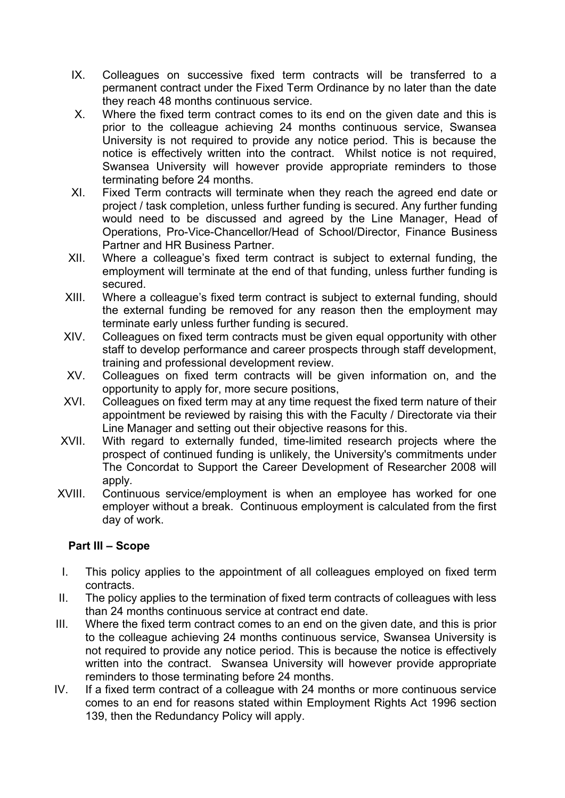- IX. Colleagues on successive fixed term contracts will be transferred to a permanent contract under the Fixed Term Ordinance by no later than the date they reach 48 months continuous service.
- X. Where the fixed term contract comes to its end on the given date and this is prior to the colleague achieving 24 months continuous service, Swansea University is not required to provide any notice period. This is because the notice is effectively written into the contract. Whilst notice is not required, Swansea University will however provide appropriate reminders to those terminating before 24 months.
- XI. Fixed Term contracts will terminate when they reach the agreed end date or project / task completion, unless further funding is secured. Any further funding would need to be discussed and agreed by the Line Manager, Head of Operations, Pro-Vice-Chancellor/Head of School/Director, Finance Business Partner and HR Business Partner.
- XII. Where a colleague's fixed term contract is subject to external funding, the employment will terminate at the end of that funding, unless further funding is secured.
- XIII. Where a colleague's fixed term contract is subject to external funding, should the external funding be removed for any reason then the employment may terminate early unless further funding is secured.
- XIV. Colleagues on fixed term contracts must be given equal opportunity with other staff to develop performance and career prospects through staff development, training and professional development review.
- XV. Colleagues on fixed term contracts will be given information on, and the opportunity to apply for, more secure positions,
- XVI. Colleagues on fixed term may at any time request the fixed term nature of their appointment be reviewed by raising this with the Faculty / Directorate via their Line Manager and setting out their objective reasons for this.
- XVII. With regard to externally funded, time-limited research projects where the prospect of continued funding is unlikely, the University's commitments under The Concordat to Support the Career Development of Researcher 2008 will apply*.*
- XVIII. Continuous service/employment is when an employee has worked for one employer without a break. Continuous employment is calculated from the first day of work.

### **Part III – Scope**

- I. This policy applies to the appointment of all colleagues employed on fixed term contracts.
- II. The policy applies to the termination of fixed term contracts of colleagues with less than 24 months continuous service at contract end date.
- III. Where the fixed term contract comes to an end on the given date, and this is prior to the colleague achieving 24 months continuous service, Swansea University is not required to provide any notice period. This is because the notice is effectively written into the contract. Swansea University will however provide appropriate reminders to those terminating before 24 months.
- IV. If a fixed term contract of a colleague with 24 months or more continuous service comes to an end for reasons stated within Employment Rights Act 1996 section 139, then the Redundancy Policy will apply.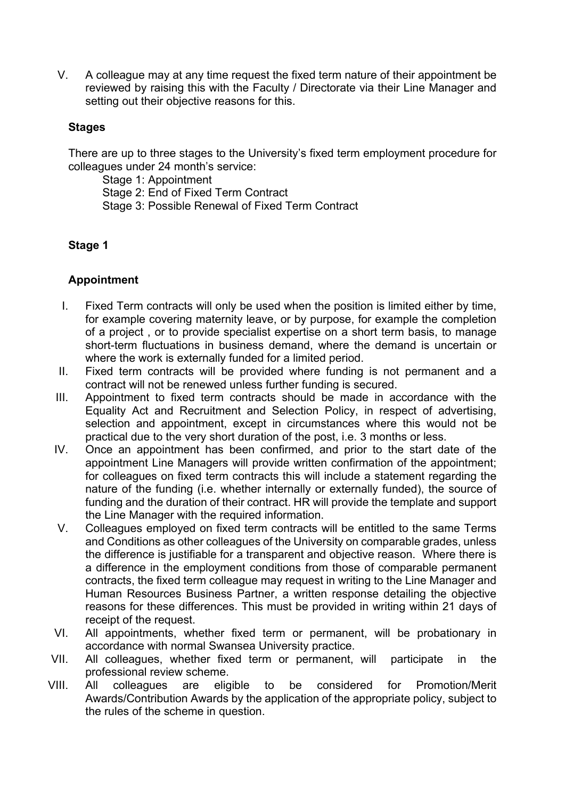V. A colleague may at any time request the fixed term nature of their appointment be reviewed by raising this with the Faculty / Directorate via their Line Manager and setting out their objective reasons for this.

### **Stages**

There are up to three stages to the University's fixed term employment procedure for colleagues under 24 month's service:

Stage 1: Appointment Stage 2: End of Fixed Term Contract Stage 3: Possible Renewal of Fixed Term Contract

### **Stage 1**

### **Appointment**

- I. Fixed Term contracts will only be used when the position is limited either by time, for example covering maternity leave, or by purpose, for example the completion of a project , or to provide specialist expertise on a short term basis, to manage short-term fluctuations in business demand, where the demand is uncertain or where the work is externally funded for a limited period.
- II. Fixed term contracts will be provided where funding is not permanent and a contract will not be renewed unless further funding is secured.
- III. Appointment to fixed term contracts should be made in accordance with the Equality Act and Recruitment and Selection Policy, in respect of advertising, selection and appointment, except in circumstances where this would not be practical due to the very short duration of the post, i.e. 3 months or less.
- IV. Once an appointment has been confirmed, and prior to the start date of the appointment Line Managers will provide written confirmation of the appointment; for colleagues on fixed term contracts this will include a statement regarding the nature of the funding (i.e. whether internally or externally funded), the source of funding and the duration of their contract. HR will provide the template and support the Line Manager with the required information.
- V. Colleagues employed on fixed term contracts will be entitled to the same Terms and Conditions as other colleagues of the University on comparable grades, unless the difference is justifiable for a transparent and objective reason. Where there is a difference in the employment conditions from those of comparable permanent contracts, the fixed term colleague may request in writing to the Line Manager and Human Resources Business Partner, a written response detailing the objective reasons for these differences. This must be provided in writing within 21 days of receipt of the request.
- VI. All appointments, whether fixed term or permanent, will be probationary in accordance with normal Swansea University practice.
- VII. All colleagues, whether fixed term or permanent, will participate in the professional review scheme.
- VIII. All colleagues are eligible to be considered for Promotion/Merit Awards/Contribution Awards by the application of the appropriate policy, subject to the rules of the scheme in question.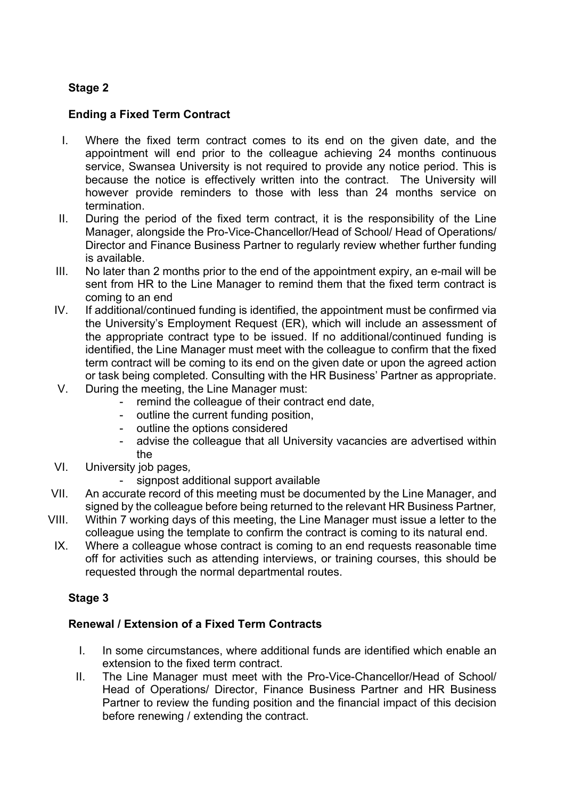## **Stage 2**

## **Ending a Fixed Term Contract**

- I. Where the fixed term contract comes to its end on the given date, and the appointment will end prior to the colleague achieving 24 months continuous service, Swansea University is not required to provide any notice period. This is because the notice is effectively written into the contract. The University will however provide reminders to those with less than 24 months service on termination.
- II. During the period of the fixed term contract, it is the responsibility of the Line Manager, alongside the Pro-Vice-Chancellor/Head of School/ Head of Operations/ Director and Finance Business Partner to regularly review whether further funding is available.
- III. No later than 2 months prior to the end of the appointment expiry, an e-mail will be sent from HR to the Line Manager to remind them that the fixed term contract is coming to an end
- IV. If additional/continued funding is identified, the appointment must be confirmed via the University's Employment Request (ER), which will include an assessment of the appropriate contract type to be issued. If no additional/continued funding is identified, the Line Manager must meet with the colleague to confirm that the fixed term contract will be coming to its end on the given date or upon the agreed action or task being completed*.* Consulting with the HR Business' Partner as appropriate.
- V. During the meeting, the Line Manager must:
	- remind the colleague of their contract end date,
	- outline the current funding position.
	- outline the options considered
	- advise the colleague that all University vacancies are advertised within the
- VI. University job pages*,*
	- signpost additional support available
- VII. An accurate record of this meeting must be documented by the Line Manager, and signed by the colleague before being returned to the relevant HR Business Partner*,*
- VIII. Within 7 working days of this meeting, the Line Manager must issue a letter to the colleague using the template to confirm the contract is coming to its natural end.
- IX. Where a colleague whose contract is coming to an end requests reasonable time off for activities such as attending interviews, or training courses, this should be requested through the normal departmental routes.

### **Stage 3**

### **Renewal / Extension of a Fixed Term Contracts**

- I. In some circumstances, where additional funds are identified which enable an extension to the fixed term contract.
- II. The Line Manager must meet with the Pro-Vice-Chancellor/Head of School/ Head of Operations/ Director, Finance Business Partner and HR Business Partner to review the funding position and the financial impact of this decision before renewing / extending the contract.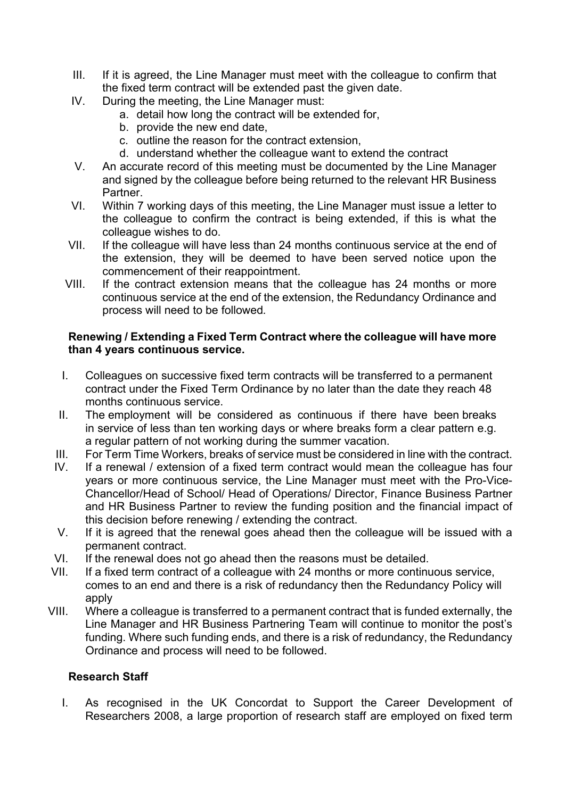- III. If it is agreed, the Line Manager must meet with the colleague to confirm that the fixed term contract will be extended past the given date.
- IV. During the meeting, the Line Manager must:
	- a. detail how long the contract will be extended for,
	- b. provide the new end date,
	- c. outline the reason for the contract extension,
	- d. understand whether the colleague want to extend the contract
- V. An accurate record of this meeting must be documented by the Line Manager and signed by the colleague before being returned to the relevant HR Business Partner.
- VI. Within 7 working days of this meeting, the Line Manager must issue a letter to the colleague to confirm the contract is being extended, if this is what the colleague wishes to do.
- VII. If the colleague will have less than 24 months continuous service at the end of the extension, they will be deemed to have been served notice upon the commencement of their reappointment.
- VIII. If the contract extension means that the colleague has 24 months or more continuous service at the end of the extension, the Redundancy Ordinance and process will need to be followed*.*

### **Renewing / Extending a Fixed Term Contract where the colleague will have more than 4 years continuous service.**

- I. Colleagues on successive fixed term contracts will be transferred to a permanent contract under the Fixed Term Ordinance by no later than the date they reach 48 months continuous service.
- II. The employment will be considered as continuous if there have been breaks in service of less than ten working days or where breaks form a clear pattern e.g. a regular pattern of not working during the summer vacation.
- III. For Term Time Workers, breaks of service must be considered in line with the contract.
- IV. If a renewal / extension of a fixed term contract would mean the colleague has four years or more continuous service, the Line Manager must meet with the Pro-Vice-Chancellor/Head of School/ Head of Operations/ Director, Finance Business Partner and HR Business Partner to review the funding position and the financial impact of this decision before renewing / extending the contract.
- V. If it is agreed that the renewal goes ahead then the colleague will be issued with a permanent contract.
- VI. If the renewal does not go ahead then the reasons must be detailed.
- VII. If a fixed term contract of a colleague with 24 months or more continuous service, comes to an end and there is a risk of redundancy then the Redundancy Policy will apply
- VIII. Where a colleague is transferred to a permanent contract that is funded externally, the Line Manager and HR Business Partnering Team will continue to monitor the post's funding. Where such funding ends, and there is a risk of redundancy, the Redundancy Ordinance and process will need to be followed.

#### **Research Staff**

I. As recognised in the UK Concordat to Support the Career Development of Researchers 2008, a large proportion of research staff are employed on fixed term